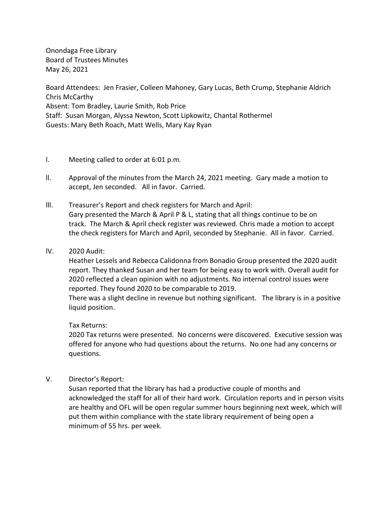Onondaga Free Library Board of Trustees Minutes May 26, 2021

Board Attendees: Jen Frasier, Colleen Mahoney, Gary Lucas, Beth Crump, Stephanie Aldrich Chris McCarthy Absent: Tom Bradley, Laurie Smith, Rob Price Staff: Susan Morgan, Alyssa Newton, Scott Lipkowitz, Chantal Rothermel Guests: Mary Beth Roach, Matt Wells, Mary Kay Ryan

- l. Meeting called to order at 6:01 p.m.
- ll. Approval of the minutes from the March 24, 2021 meeting. Gary made a motion to accept, Jen seconded. All in favor. Carried.
- lll. Treasurer's Report and check registers for March and April: Gary presented the March & April P & L, stating that all things continue to be on track. The March & April check register was reviewed. Chris made a motion to accept the check registers for March and April, seconded by Stephanie. All in favor. Carried.
- lV. 2020 Audit:

Heather Lessels and Rebecca Calidonna from Bonadio Group presented the 2020 audit report. They thanked Susan and her team for being easy to work with. Overall audit for 2020 reflected a clean opinion with no adjustments. No internal control issues were reported. They found 2020 to be comparable to 2019.

There was a slight decline in revenue but nothing significant. The library is in a positive liquid position.

#### Tax Returns:

2020 Tax returns were presented. No concerns were discovered. Executive session was offered for anyone who had questions about the returns. No one had any concerns or questions.

V. Director's Report:

Susan reported that the library has had a productive couple of months and acknowledged the staff for all of their hard work. Circulation reports and in person visits are healthy and OFL will be open regular summer hours beginning next week, which will put them within compliance with the state library requirement of being open a minimum of 55 hrs. per week.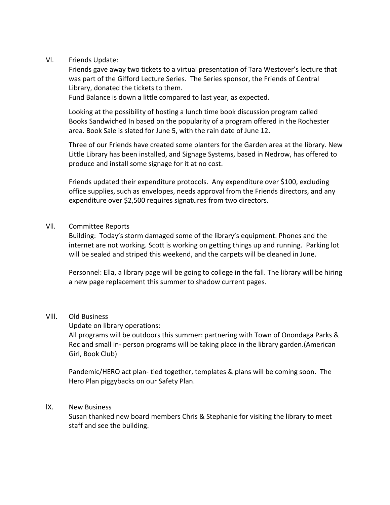# Vl. Friends Update:

Friends gave away two tickets to a virtual presentation of Tara Westover's lecture that was part of the Gifford Lecture Series. The Series sponsor, the Friends of Central Library, donated the tickets to them.

Fund Balance is down a little compared to last year, as expected.

Looking at the possibility of hosting a lunch time book discussion program called Books Sandwiched In based on the popularity of a program offered in the Rochester area. Book Sale is slated for June 5, with the rain date of June 12.

Three of our Friends have created some planters for the Garden area at the library. New Little Library has been installed, and Signage Systems, based in Nedrow, has offered to produce and install some signage for it at no cost.

Friends updated their expenditure protocols. Any expenditure over \$100, excluding office supplies, such as envelopes, needs approval from the Friends directors, and any expenditure over \$2,500 requires signatures from two directors.

### Vll. Committee Reports

Building: Today's storm damaged some of the library's equipment. Phones and the internet are not working. Scott is working on getting things up and running. Parking lot will be sealed and striped this weekend, and the carpets will be cleaned in June.

Personnel: Ella, a library page will be going to college in the fall. The library will be hiring a new page replacement this summer to shadow current pages.

# Vlll. Old Business

Update on library operations:

All programs will be outdoors this summer: partnering with Town of Onondaga Parks & Rec and small in- person programs will be taking place in the library garden.(American Girl, Book Club)

Pandemic/HERO act plan- tied together, templates & plans will be coming soon. The Hero Plan piggybacks on our Safety Plan.

# lX. New Business

Susan thanked new board members Chris & Stephanie for visiting the library to meet staff and see the building.